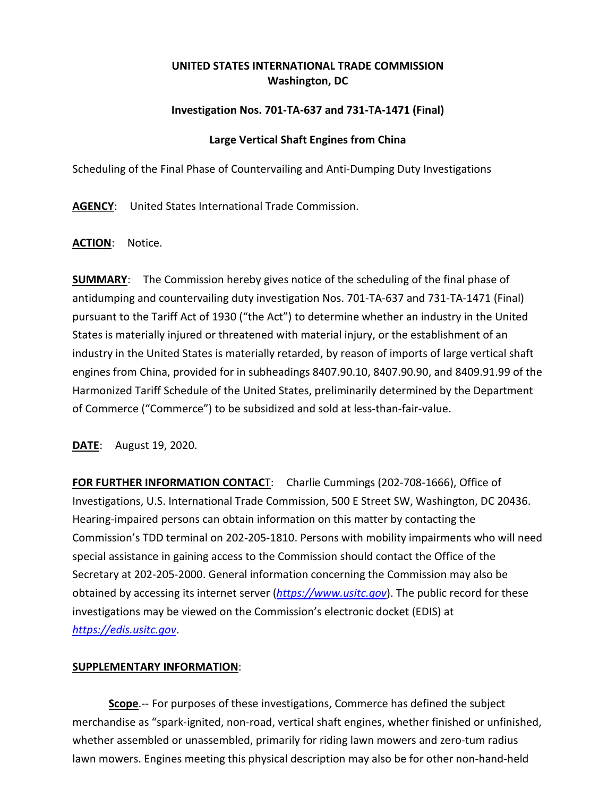## **UNITED STATES INTERNATIONAL TRADE COMMISSION Washington, DC**

## **Investigation Nos. 701-TA-637 and 731-TA-1471 (Final)**

## **Large Vertical Shaft Engines from China**

Scheduling of the Final Phase of Countervailing and Anti-Dumping Duty Investigations

**AGENCY**: United States International Trade Commission.

**ACTION**: Notice.

**SUMMARY**: The Commission hereby gives notice of the scheduling of the final phase of antidumping and countervailing duty investigation Nos. 701-TA-637 and 731-TA-1471 (Final) pursuant to the Tariff Act of 1930 ("the Act") to determine whether an industry in the United States is materially injured or threatened with material injury, or the establishment of an industry in the United States is materially retarded, by reason of imports of large vertical shaft engines from China, provided for in subheadings 8407.90.10, 8407.90.90, and 8409.91.99 of the Harmonized Tariff Schedule of the United States, preliminarily determined by the Department of Commerce ("Commerce") to be subsidized and sold at less-than-fair-value.

**DATE**: August 19, 2020.

**FOR FURTHER INFORMATION CONTAC**T: Charlie Cummings (202-708-1666), Office of Investigations, U.S. International Trade Commission, 500 E Street SW, Washington, DC 20436. Hearing-impaired persons can obtain information on this matter by contacting the Commission's TDD terminal on 202-205-1810. Persons with mobility impairments who will need special assistance in gaining access to the Commission should contact the Office of the Secretary at 202-205-2000. General information concerning the Commission may also be obtained by accessing its internet server (*[https://www.usitc.gov](https://www.usitc.gov/)*). The public record for these investigations may be viewed on the Commission's electronic docket (EDIS) at *[https://edis.usitc.gov](https://edis.usitc.gov/)*.

## **SUPPLEMENTARY INFORMATION**:

**Scope**.-- For purposes of these investigations, Commerce has defined the subject merchandise as "spark-ignited, non-road, vertical shaft engines, whether finished or unfinished, whether assembled or unassembled, primarily for riding lawn mowers and zero-tum radius lawn mowers. Engines meeting this physical description may also be for other non-hand-held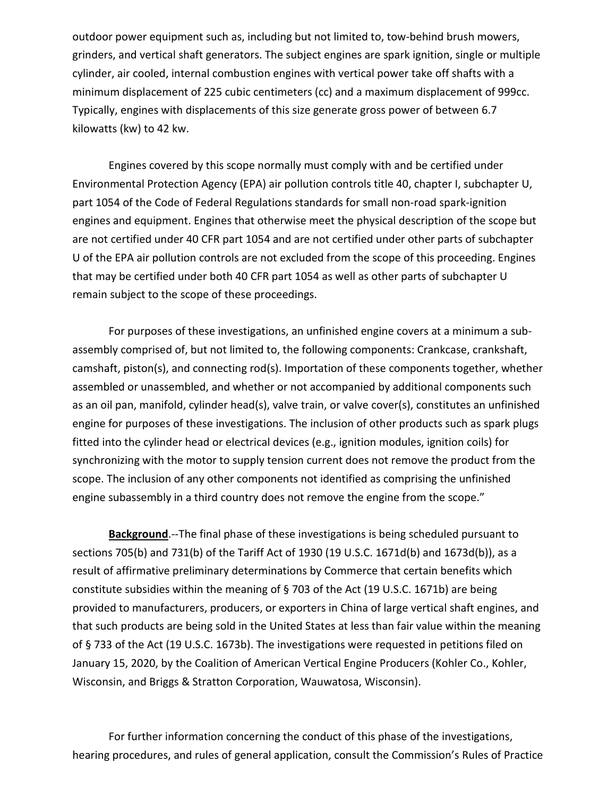outdoor power equipment such as, including but not limited to, tow-behind brush mowers, grinders, and vertical shaft generators. The subject engines are spark ignition, single or multiple cylinder, air cooled, internal combustion engines with vertical power take off shafts with a minimum displacement of 225 cubic centimeters (cc) and a maximum displacement of 999cc. Typically, engines with displacements of this size generate gross power of between 6.7 kilowatts (kw) to 42 kw.

Engines covered by this scope normally must comply with and be certified under Environmental Protection Agency (EPA) air pollution controls title 40, chapter I, subchapter U, part 1054 of the Code of Federal Regulations standards for small non-road spark-ignition engines and equipment. Engines that otherwise meet the physical description of the scope but are not certified under 40 CFR part 1054 and are not certified under other parts of subchapter U of the EPA air pollution controls are not excluded from the scope of this proceeding. Engines that may be certified under both 40 CFR part 1054 as well as other parts of subchapter U remain subject to the scope of these proceedings.

For purposes of these investigations, an unfinished engine covers at a minimum a subassembly comprised of, but not limited to, the following components: Crankcase, crankshaft, camshaft, piston(s), and connecting rod(s). Importation of these components together, whether assembled or unassembled, and whether or not accompanied by additional components such as an oil pan, manifold, cylinder head(s), valve train, or valve cover(s), constitutes an unfinished engine for purposes of these investigations. The inclusion of other products such as spark plugs fitted into the cylinder head or electrical devices (e.g., ignition modules, ignition coils) for synchronizing with the motor to supply tension current does not remove the product from the scope. The inclusion of any other components not identified as comprising the unfinished engine subassembly in a third country does not remove the engine from the scope."

**Background**.--The final phase of these investigations is being scheduled pursuant to sections 705(b) and 731(b) of the Tariff Act of 1930 (19 U.S.C. 1671d(b) and 1673d(b)), as a result of affirmative preliminary determinations by Commerce that certain benefits which constitute subsidies within the meaning of § 703 of the Act (19 U.S.C. 1671b) are being provided to manufacturers, producers, or exporters in China of large vertical shaft engines, and that such products are being sold in the United States at less than fair value within the meaning of § 733 of the Act (19 U.S.C. 1673b). The investigations were requested in petitions filed on January 15, 2020, by the Coalition of American Vertical Engine Producers (Kohler Co., Kohler, Wisconsin, and Briggs & Stratton Corporation, Wauwatosa, Wisconsin).

For further information concerning the conduct of this phase of the investigations, hearing procedures, and rules of general application, consult the Commission's Rules of Practice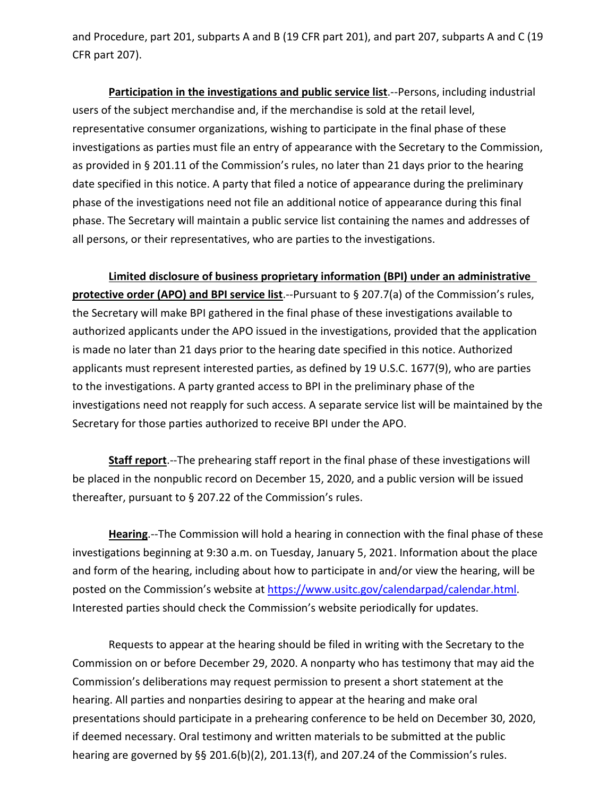and Procedure, part 201, subparts A and B (19 CFR part 201), and part 207, subparts A and C (19 CFR part 207).

**Participation in the investigations and public service list**.--Persons, including industrial users of the subject merchandise and, if the merchandise is sold at the retail level, representative consumer organizations, wishing to participate in the final phase of these investigations as parties must file an entry of appearance with the Secretary to the Commission, as provided in § 201.11 of the Commission's rules, no later than 21 days prior to the hearing date specified in this notice. A party that filed a notice of appearance during the preliminary phase of the investigations need not file an additional notice of appearance during this final phase. The Secretary will maintain a public service list containing the names and addresses of all persons, or their representatives, who are parties to the investigations.

**Limited disclosure of business proprietary information (BPI) under an administrative protective order (APO) and BPI service list**.--Pursuant to § 207.7(a) of the Commission's rules, the Secretary will make BPI gathered in the final phase of these investigations available to authorized applicants under the APO issued in the investigations, provided that the application is made no later than 21 days prior to the hearing date specified in this notice. Authorized applicants must represent interested parties, as defined by 19 U.S.C. 1677(9), who are parties to the investigations. A party granted access to BPI in the preliminary phase of the investigations need not reapply for such access. A separate service list will be maintained by the Secretary for those parties authorized to receive BPI under the APO.

**Staff report**.--The prehearing staff report in the final phase of these investigations will be placed in the nonpublic record on December 15, 2020, and a public version will be issued thereafter, pursuant to § 207.22 of the Commission's rules.

**Hearing**.--The Commission will hold a hearing in connection with the final phase of these investigations beginning at 9:30 a.m. on Tuesday, January 5, 2021. Information about the place and form of the hearing, including about how to participate in and/or view the hearing, will be posted on the Commission's website at [https://www.usitc.gov/calendarpad/calendar.html.](https://www.usitc.gov/calendarpad/calendar.html) Interested parties should check the Commission's website periodically for updates.

Requests to appear at the hearing should be filed in writing with the Secretary to the Commission on or before December 29, 2020. A nonparty who has testimony that may aid the Commission's deliberations may request permission to present a short statement at the hearing. All parties and nonparties desiring to appear at the hearing and make oral presentations should participate in a prehearing conference to be held on December 30, 2020, if deemed necessary. Oral testimony and written materials to be submitted at the public hearing are governed by §§ 201.6(b)(2), 201.13(f), and 207.24 of the Commission's rules.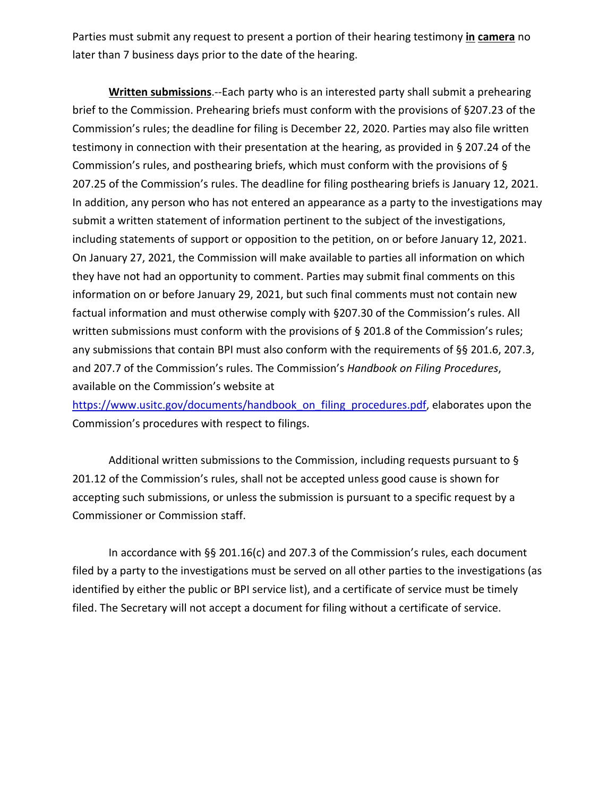Parties must submit any request to present a portion of their hearing testimony **in camera** no later than 7 business days prior to the date of the hearing.

**Written submissions**.--Each party who is an interested party shall submit a prehearing brief to the Commission. Prehearing briefs must conform with the provisions of §207.23 of the Commission's rules; the deadline for filing is December 22, 2020. Parties may also file written testimony in connection with their presentation at the hearing, as provided in § 207.24 of the Commission's rules, and posthearing briefs, which must conform with the provisions of § 207.25 of the Commission's rules. The deadline for filing posthearing briefs is January 12, 2021. In addition, any person who has not entered an appearance as a party to the investigations may submit a written statement of information pertinent to the subject of the investigations, including statements of support or opposition to the petition, on or before January 12, 2021. On January 27, 2021, the Commission will make available to parties all information on which they have not had an opportunity to comment. Parties may submit final comments on this information on or before January 29, 2021, but such final comments must not contain new factual information and must otherwise comply with §207.30 of the Commission's rules. All written submissions must conform with the provisions of § 201.8 of the Commission's rules; any submissions that contain BPI must also conform with the requirements of §§ 201.6, 207.3, and 207.7 of the Commission's rules. The Commission's *Handbook on Filing Procedures*, available on the Commission's website at

[https://www.usitc.gov/documents/handbook\\_on\\_filing\\_procedures.pdf,](https://www.usitc.gov/documents/handbook_on_filing_procedures.pdf) elaborates upon the Commission's procedures with respect to filings.

Additional written submissions to the Commission, including requests pursuant to § 201.12 of the Commission's rules, shall not be accepted unless good cause is shown for accepting such submissions, or unless the submission is pursuant to a specific request by a Commissioner or Commission staff.

In accordance with §§ 201.16(c) and 207.3 of the Commission's rules, each document filed by a party to the investigations must be served on all other parties to the investigations (as identified by either the public or BPI service list), and a certificate of service must be timely filed. The Secretary will not accept a document for filing without a certificate of service.